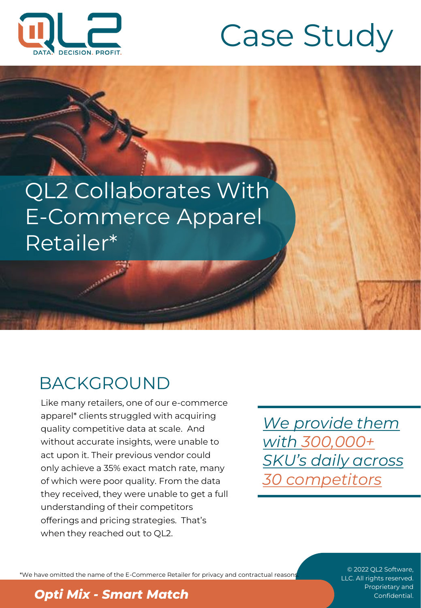

# Case Study

# QL2 Collaborates With E-Commerce Apparel Retailer\*

## BACKGROUND

Like many retailers, one of our e-commerce apparel\* clients struggled with acquiring quality competitive data at scale. And without accurate insights, were unable to act upon it. Their previous vendor could only achieve a 35% exact match rate, many of which were poor quality. From the data they received, they were unable to get a full understanding of their competitors offerings and pricing strategies. That's when they reached out to QL2.

*We provide them with 300,000+ SKU's daily across 30 competitors*

\*We have omitted the name of the E-Commerce Retailer for privacy and contractual reasons.

#### © 2022 QL2 Software, LLC. All rights reserved.

#### **Proprietary and <b>Opti Mix - Smart Match** Confidential.